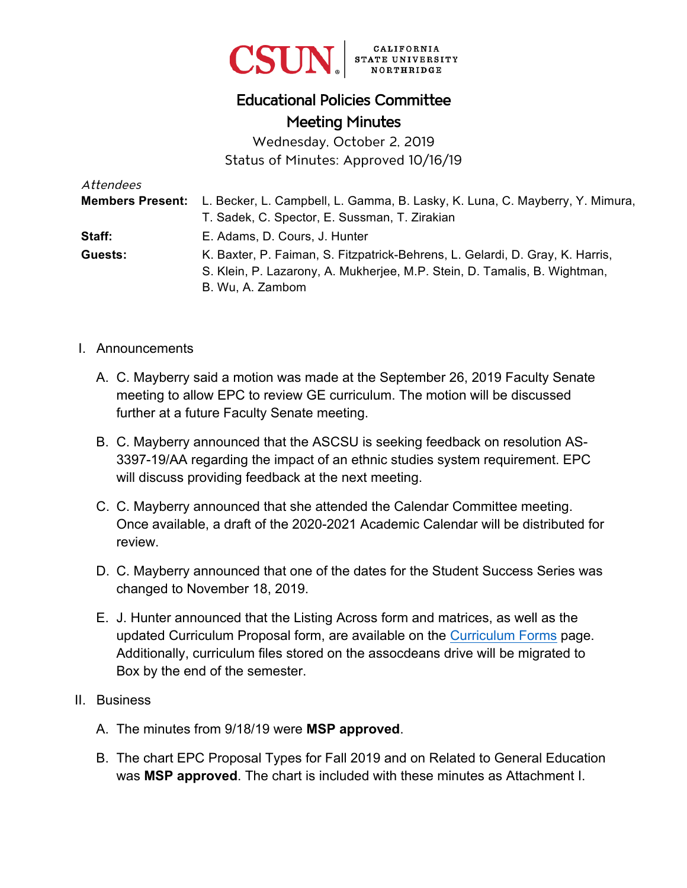

# Educational Policies Committee Meeting Minutes

Wednesday, October 2, 2019 Status of Minutes: Approved 10/16/19

| Attendees |                                                                                               |
|-----------|-----------------------------------------------------------------------------------------------|
|           | Members Present: L. Becker, L. Campbell, L. Gamma, B. Lasky, K. Luna, C. Mayberry, Y. Mimura, |
|           | T. Sadek, C. Spector, E. Sussman, T. Zirakian                                                 |
| Staff:    | E. Adams, D. Cours, J. Hunter                                                                 |
| Guests:   | K. Baxter, P. Faiman, S. Fitzpatrick-Behrens, L. Gelardi, D. Gray, K. Harris,                 |
|           | S. Klein, P. Lazarony, A. Mukherjee, M.P. Stein, D. Tamalis, B. Wightman,                     |
|           | B. Wu, A. Zambom                                                                              |

- I. Announcements
	- A. C. Mayberry said a motion was made at the September 26, 2019 Faculty Senate meeting to allow EPC to review GE curriculum. The motion will be discussed further at a future Faculty Senate meeting.
	- B. C. Mayberry announced that the ASCSU is seeking feedback on resolution AS-3397-19/AA regarding the impact of an ethnic studies system requirement. EPC will discuss providing feedback at the next meeting.
	- C. C. Mayberry announced that she attended the Calendar Committee meeting. Once available, a draft of the 2020-2021 Academic Calendar will be distributed for review.
	- D. C. Mayberry announced that one of the dates for the Student Success Series was changed to November 18, 2019.
	- E. J. Hunter announced that the Listing Across form and matrices, as well as the updated Curriculum Proposal form, are available on the [Curriculum Forms](https://www.csun.edu/educational-policies-committee/curriculum-forms) page. Additionally, curriculum files stored on the assocdeans drive will be migrated to Box by the end of the semester.
- II. Business
	- A. The minutes from 9/18/19 were **MSP approved**.
	- B. The chart EPC Proposal Types for Fall 2019 and on Related to General Education was **MSP approved**. The chart is included with these minutes as Attachment I.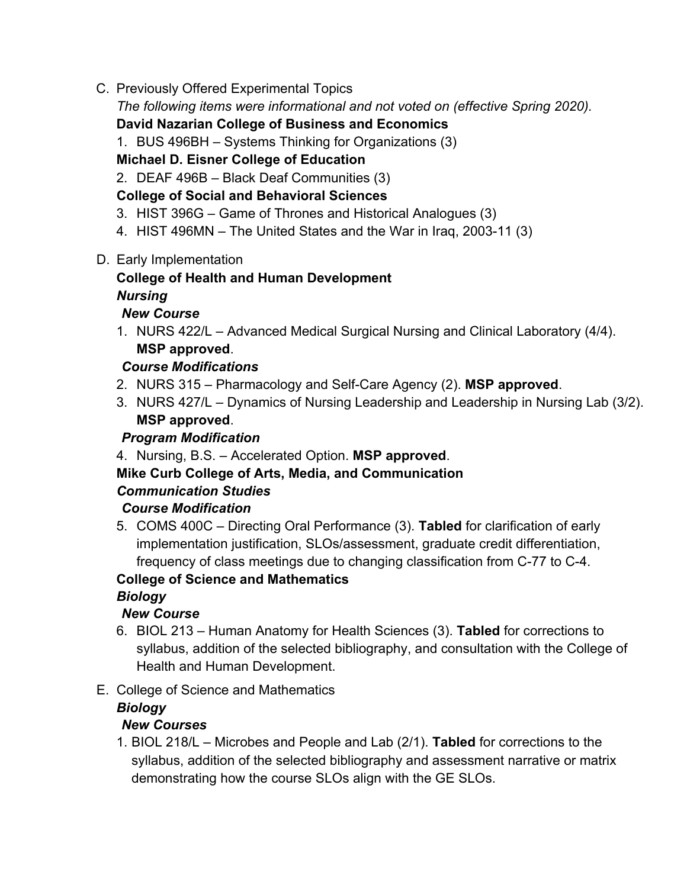C. Previously Offered Experimental Topics

*The following items were informational and not voted on (effective Spring 2020).*

#### **David Nazarian College of Business and Economics**

1. BUS 496BH – Systems Thinking for Organizations (3)

#### **Michael D. Eisner College of Education**

2. DEAF 496B – Black Deaf Communities (3)

#### **College of Social and Behavioral Sciences**

- 3. HIST 396G Game of Thrones and Historical Analogues (3)
- 4. HIST 496MN The United States and the War in Iraq, 2003-11 (3)
- D. Early Implementation

## **College of Health and Human Development**

## *Nursing*

## *New Course*

1. NURS 422/L – Advanced Medical Surgical Nursing and Clinical Laboratory (4/4). **MSP approved**.

## *Course Modifications*

- 2. NURS 315 Pharmacology and Self-Care Agency (2). **MSP approved**.
- 3. NURS 427/L Dynamics of Nursing Leadership and Leadership in Nursing Lab (3/2). **MSP approved**.

## *Program Modification*

4. Nursing, B.S. – Accelerated Option. **MSP approved**.

#### **Mike Curb College of Arts, Media, and Communication**  *Communication Studies*

## *Course Modification*

5. COMS 400C – Directing Oral Performance (3). **Tabled** for clarification of early implementation justification, SLOs/assessment, graduate credit differentiation, frequency of class meetings due to changing classification from C-77 to C-4.

#### **College of Science and Mathematics**

## *Biology*

## *New Course*

- 6. BIOL 213 Human Anatomy for Health Sciences (3). **Tabled** for corrections to syllabus, addition of the selected bibliography, and consultation with the College of Health and Human Development.
- E. College of Science and Mathematics

## *Biology*

## *New Courses*

1. BIOL 218/L – Microbes and People and Lab (2/1). **Tabled** for corrections to the syllabus, addition of the selected bibliography and assessment narrative or matrix demonstrating how the course SLOs align with the GE SLOs.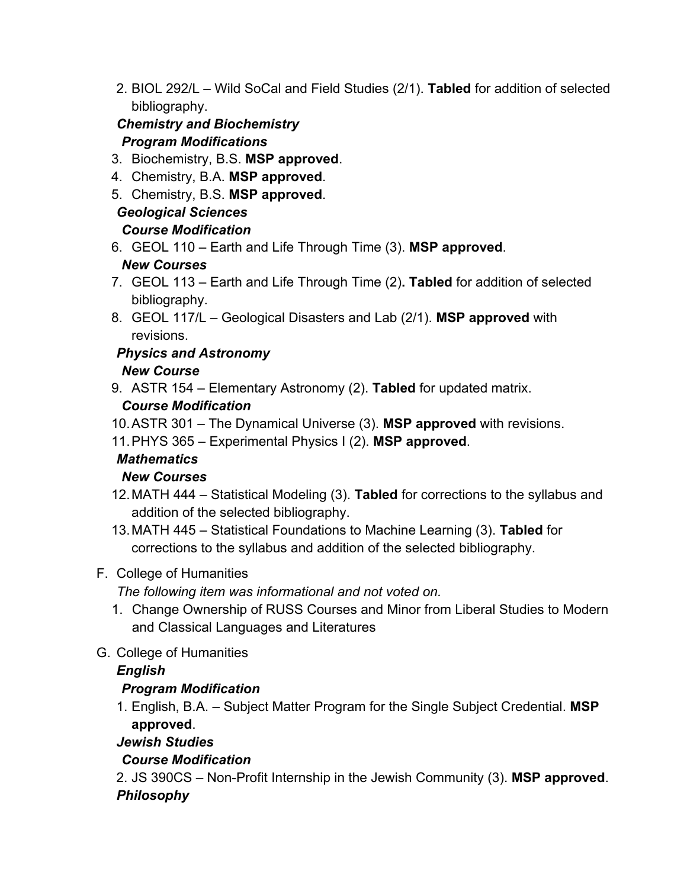2. BIOL 292/L – Wild SoCal and Field Studies (2/1). **Tabled** for addition of selected bibliography.

### *Chemistry and Biochemistry Program Modifications*

- 3. Biochemistry, B.S. **MSP approved**.
- 4. Chemistry, B.A. **MSP approved**.
- 5. Chemistry, B.S. **MSP approved**.

## *Geological Sciences*

## *Course Modification*

6. GEOL 110 – Earth and Life Through Time (3). **MSP approved**.

## *New Courses*

- 7. GEOL 113 Earth and Life Through Time (2)**. Tabled** for addition of selected bibliography.
- 8. GEOL 117/L Geological Disasters and Lab (2/1). **MSP approved** with revisions.

#### *Physics and Astronomy New Course*

9. ASTR 154 – Elementary Astronomy (2). **Tabled** for updated matrix.

## *Course Modification*

10. ASTR 301 – The Dynamical Universe (3). **MSP approved** with revisions.

11. PHYS 365 – Experimental Physics I (2). **MSP approved**.

## *Mathematics*

## *New Courses*

- 12. MATH 444 Statistical Modeling (3). **Tabled** for corrections to the syllabus and addition of the selected bibliography.
- 13. MATH 445 Statistical Foundations to Machine Learning (3). **Tabled** for corrections to the syllabus and addition of the selected bibliography.

## F. College of Humanities

*The following item was informational and not voted on.*

- 1. Change Ownership of RUSS Courses and Minor from Liberal Studies to Modern and Classical Languages and Literatures
- G. College of Humanities

## *English*

## *Program Modification*

1. English, B.A. – Subject Matter Program for the Single Subject Credential. **MSP approved**.

## *Jewish Studies*

## *Course Modification*

2. JS 390CS – Non-Profit Internship in the Jewish Community (3). **MSP approved**. *Philosophy*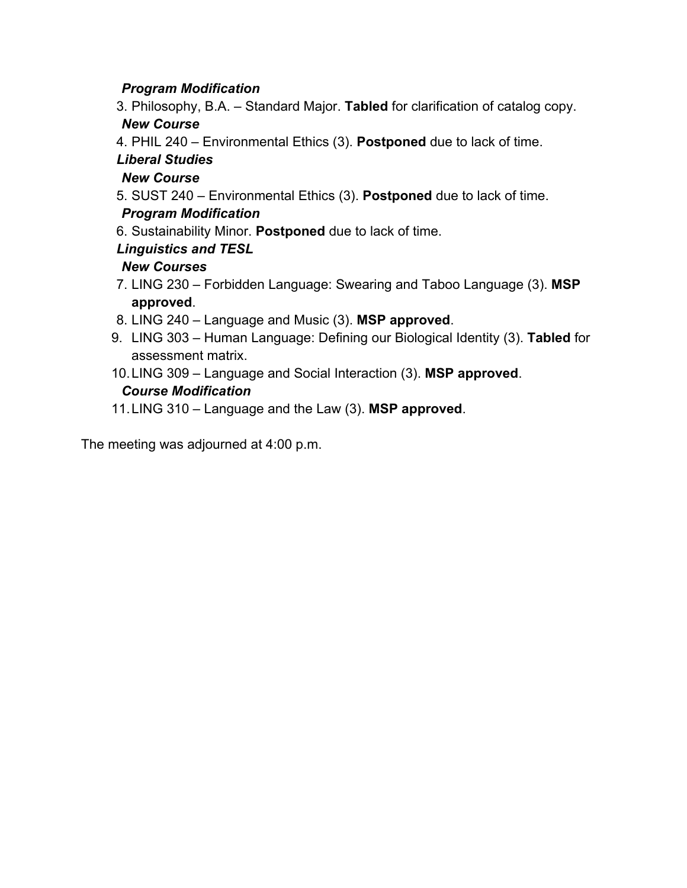#### *Program Modification*

- 3. Philosophy, B.A. Standard Major. **Tabled** for clarification of catalog copy. *New Course*
- 4. PHIL 240 Environmental Ethics (3). **Postponed** due to lack of time.

## *Liberal Studies*

#### *New Course*

5. SUST 240 – Environmental Ethics (3). **Postponed** due to lack of time.

#### *Program Modification*

6. Sustainability Minor. **Postponed** due to lack of time.

#### *Linguistics and TESL*

#### *New Courses*

- 7. LING 230 Forbidden Language: Swearing and Taboo Language (3). **MSP approved**.
- 8. LING 240 Language and Music (3). **MSP approved**.
- 9. LING 303 Human Language: Defining our Biological Identity (3). **Tabled** for assessment matrix.
- 10.LING 309 Language and Social Interaction (3). **MSP approved**.

#### *Course Modification*

11.LING 310 – Language and the Law (3). **MSP approved**.

The meeting was adjourned at 4:00 p.m.